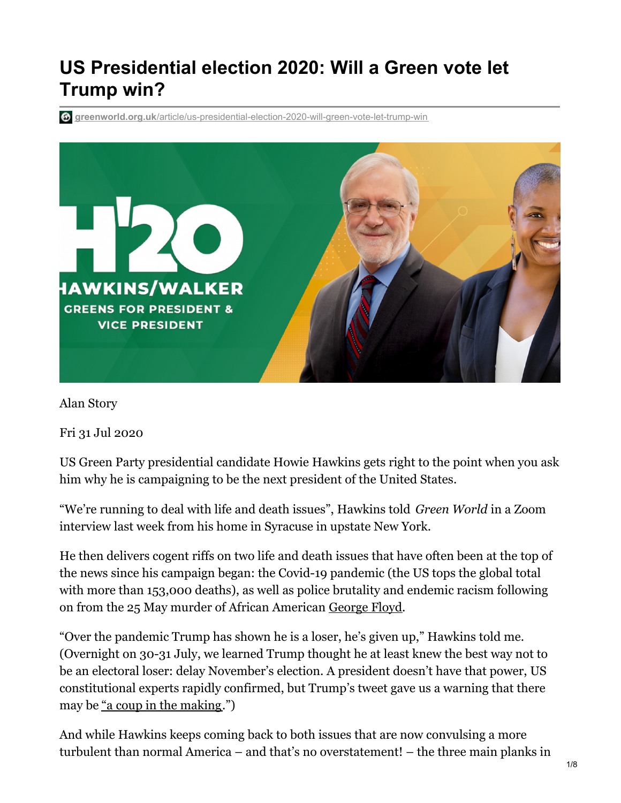# **US Presidential election 2020: Will a Green vote let Trump win?**

**greenworld.org.uk**[/article/us-presidential-election-2020-will-green-vote-let-trump-win](https://greenworld.org.uk/article/us-presidential-election-2020-will-green-vote-let-trump-win)



Alan Story

Fri 31 Jul 2020

US Green Party presidential candidate Howie Hawkins gets right to the point when you ask him why he is campaigning to be the next president of the United States.

"We're running to deal with life and death issues", Hawkins told *Green World* in a Zoom interview last week from his home in Syracuse in upstate New York.

He then delivers cogent riffs on two life and death issues that have often been at the top of the news since his campaign began: the Covid-19 pandemic (the US tops the global total with more than 153,000 deaths), as well as police brutality and endemic racism following on from the 25 May murder of African American [George](https://greenworld.org.uk/article/george-floyd-murder-solidarity-pain-and-fear) Floyd.

"Over the pandemic Trump has shown he is a loser, he's given up," Hawkins told me. (Overnight on 30-31 July, we learned Trump thought he at least knew the best way not to be an electoral loser: delay November's election. A president doesn't have that power, US constitutional experts rapidly confirmed, but Trump's tweet gave us a warning that there may be "a coup in the [making](https://www.commondreams.org/views/2020/07/30/trumps-election-delay-threat-coup-making).")

And while Hawkins keeps coming back to both issues that are now convulsing a more turbulent than normal America – and that's no overstatement! – the three main planks in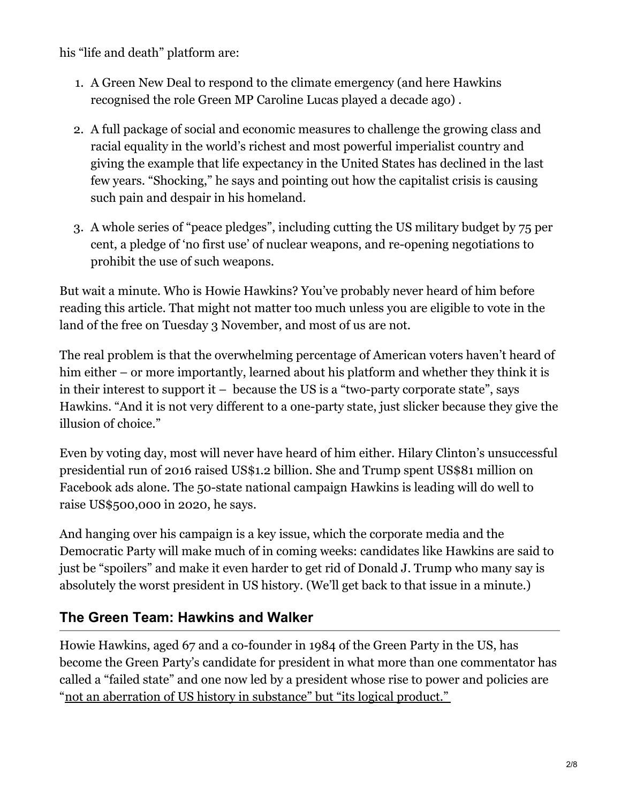his "life and death" platform are:

- 1. A Green New Deal to respond to the climate emergency (and here Hawkins recognised the role Green MP Caroline Lucas played a decade ago) .
- 2. A full package of social and economic measures to challenge the growing class and racial equality in the world's richest and most powerful imperialist country and giving the example that life expectancy in the United States has declined in the last few years. "Shocking," he says and pointing out how the capitalist crisis is causing such pain and despair in his homeland.
- 3. A whole series of "peace pledges", including cutting the US military budget by 75 per cent, a pledge of 'no first use' of nuclear weapons, and re-opening negotiations to prohibit the use of such weapons.

But wait a minute. Who is Howie Hawkins? You've probably never heard of him before reading this article. That might not matter too much unless you are eligible to vote in the land of the free on Tuesday 3 November, and most of us are not.

The real problem is that the overwhelming percentage of American voters haven't heard of him either – or more importantly, learned about his platform and whether they think it is in their interest to support it  $-$  because the US is a "two-party corporate state", says Hawkins. "And it is not very different to a one-party state, just slicker because they give the illusion of choice."

Even by voting day, most will never have heard of him either. Hilary Clinton's unsuccessful presidential run of 2016 raised US\$1.2 billion. She and Trump spent US\$81 million on Facebook ads alone. The 50-state national campaign Hawkins is leading will do well to raise US\$500,000 in 2020, he says.

And hanging over his campaign is a key issue, which the corporate media and the Democratic Party will make much of in coming weeks: candidates like Hawkins are said to just be "spoilers" and make it even harder to get rid of Donald J. Trump who many say is absolutely the worst president in US history. (We'll get back to that issue in a minute.)

## **The Green Team: Hawkins and Walker**

Howie Hawkins, aged 67 and a co-founder in 1984 of the Green Party in the US, has become the Green Party's candidate for president in what more than one commentator has called a "failed state" and one now led by a president whose rise to power and policies are "not an aberration of US history in [substance"](https://theintercept.com/2020/04/20/donald-trump-joe-biden-2020-presidential-election-voting/) but "its logical product."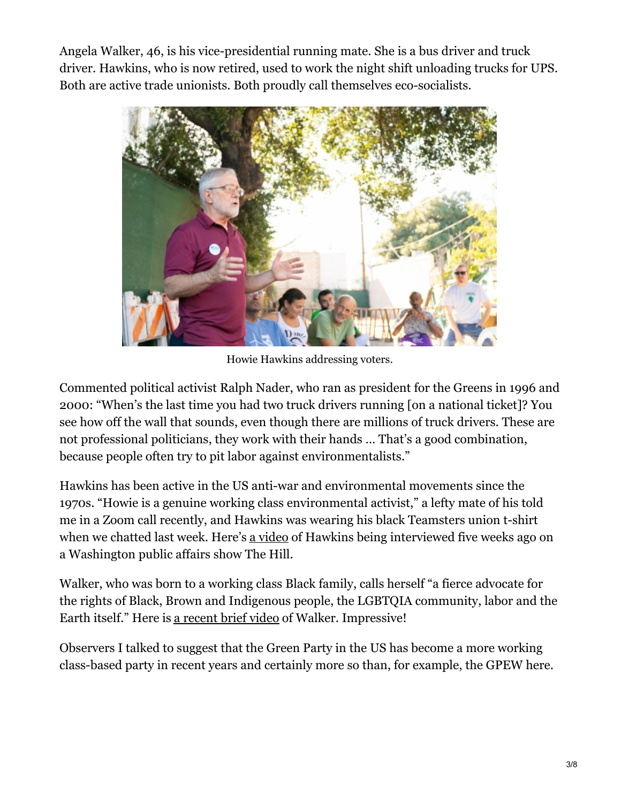Angela Walker, 46, is his vice-presidential running mate. She is a bus driver and truck driver. Hawkins, who is now retired, used to work the night shift unloading trucks for UPS. Both are active trade unionists. Both proudly call themselves eco-socialists.



Howie Hawkins addressing voters.

Commented political activist Ralph Nader, who ran as president for the Greens in 1996 and 2000: "When's the last time you had two truck drivers running [on a national ticket]? You see how off the wall that sounds, even though there are millions of truck drivers. These are not professional politicians, they work with their hands … That's a good combination, because people often try to pit labor against environmentalists."

Hawkins has been active in the US anti-war and environmental movements since the 1970s. "Howie is a genuine working class environmental activist," a lefty mate of his told me in a Zoom call recently, and Hawkins was wearing his black Teamsters union t-shirt when we chatted last week. Here's a [video](https://www.youtube.com/watch?v=SF3hB34I1oY) of Hawkins being interviewed five weeks ago on a Washington public affairs show The Hill.

Walker, who was born to a working class Black family, calls herself "a fierce advocate for the rights of Black, Brown and Indigenous people, the LGBTQIA community, labor and the Earth itself." Here is a [recent](https://www.youtube.com/watch?v=ccy5JJOH4A8) brief video of Walker. Impressive!

Observers I talked to suggest that the Green Party in the US has become a more working class-based party in recent years and certainly more so than, for example, the GPEW here.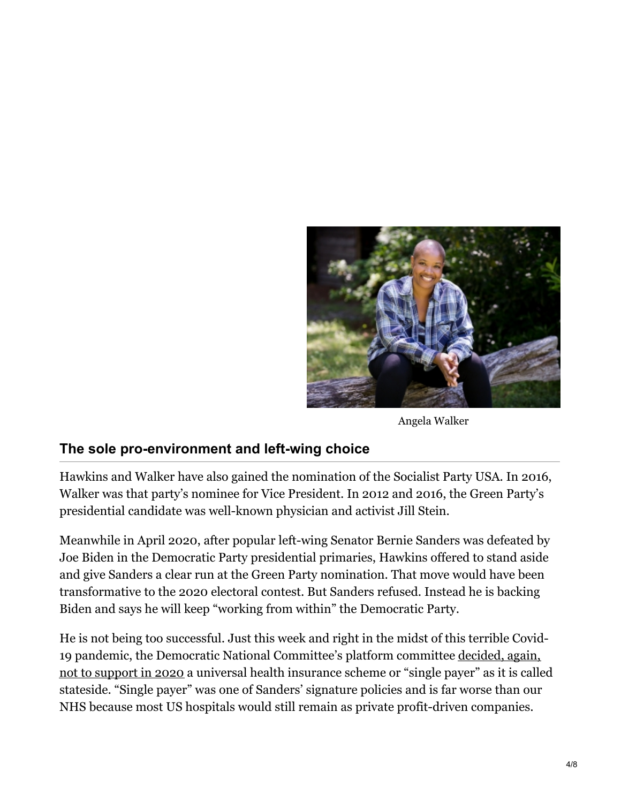

Angela Walker

#### **The sole pro-environment and left-wing choice**

Hawkins and Walker have also gained the nomination of the Socialist Party USA. In 2016, Walker was that party's nominee for Vice President. In 2012 and 2016, the Green Party's presidential candidate was well-known physician and activist Jill Stein.

Meanwhile in April 2020, after popular left-wing Senator Bernie Sanders was defeated by Joe Biden in the Democratic Party presidential primaries, Hawkins offered to stand aside and give Sanders a clear run at the Green Party nomination. That move would have been transformative to the 2020 electoral contest. But Sanders refused. Instead he is backing Biden and says he will keep "working from within" the Democratic Party.

He is not being too successful. Just this week and right in the midst of this terrible Covid-19 pandemic, the Democratic National [Committee's](https://medium.com/discourse/even-now-democrats-continue-to-spit-on-the-left-ff0dc4e7a904) platform committee decided, again, not to support in 2020 a universal health insurance scheme or "single payer" as it is called stateside. "Single payer" was one of Sanders' signature policies and is far worse than our NHS because most US hospitals would still remain as private profit-driven companies.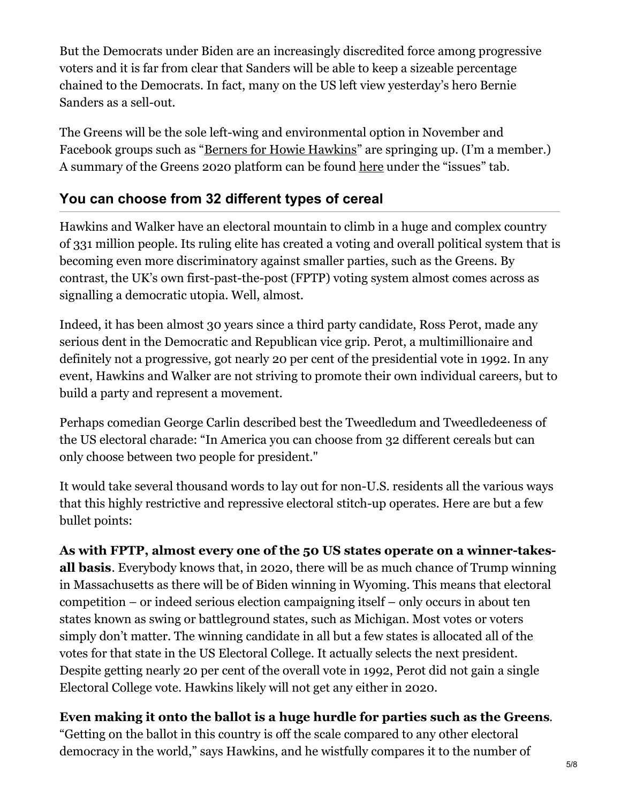But the Democrats under Biden are an increasingly discredited force among progressive voters and it is far from clear that Sanders will be able to keep a sizeable percentage chained to the Democrats. In fact, many on the US left view yesterday's hero Bernie Sanders as a sell-out.

The Greens will be the sole left-wing and environmental option in November and Facebook groups such as "Berners for Howie [Hawkins](https://www.facebook.com/groups/691174828302009)" are springing up. (I'm a member.) A summary of the Greens 2020 platform can be found [here](https://howiehawkins.us/) under the "issues" tab.

### **You can choose from 32 different types of cereal**

Hawkins and Walker have an electoral mountain to climb in a huge and complex country of 331 million people. Its ruling elite has created a voting and overall political system that is becoming even more discriminatory against smaller parties, such as the Greens. By contrast, the UK's own first-past-the-post (FPTP) voting system almost comes across as signalling a democratic utopia. Well, almost.

Indeed, it has been almost 30 years since a third party candidate, Ross Perot, made any serious dent in the Democratic and Republican vice grip. Perot, a multimillionaire and definitely not a progressive, got nearly 20 per cent of the presidential vote in 1992. In any event, Hawkins and Walker are not striving to promote their own individual careers, but to build a party and represent a movement.

Perhaps comedian George Carlin described best the Tweedledum and Tweedledeeness of the US electoral charade: "In America you can choose from 32 different cereals but can only choose between two people for president."

It would take several thousand words to lay out for non-U.S. residents all the various ways that this highly restrictive and repressive electoral stitch-up operates. Here are but a few bullet points:

**As with FPTP, almost every one of the 50 US states operate on a winner-takesall basis**. Everybody knows that, in 2020, there will be as much chance of Trump winning in Massachusetts as there will be of Biden winning in Wyoming. This means that electoral competition – or indeed serious election campaigning itself – only occurs in about ten states known as swing or battleground states, such as Michigan. Most votes or voters simply don't matter. The winning candidate in all but a few states is allocated all of the votes for that state in the US Electoral College. It actually selects the next president. Despite getting nearly 20 per cent of the overall vote in 1992, Perot did not gain a single Electoral College vote. Hawkins likely will not get any either in 2020.

**Even making it onto the ballot is a huge hurdle for parties such as the Greens**. "Getting on the ballot in this country is off the scale compared to any other electoral democracy in the world," says Hawkins, and he wistfully compares it to the number of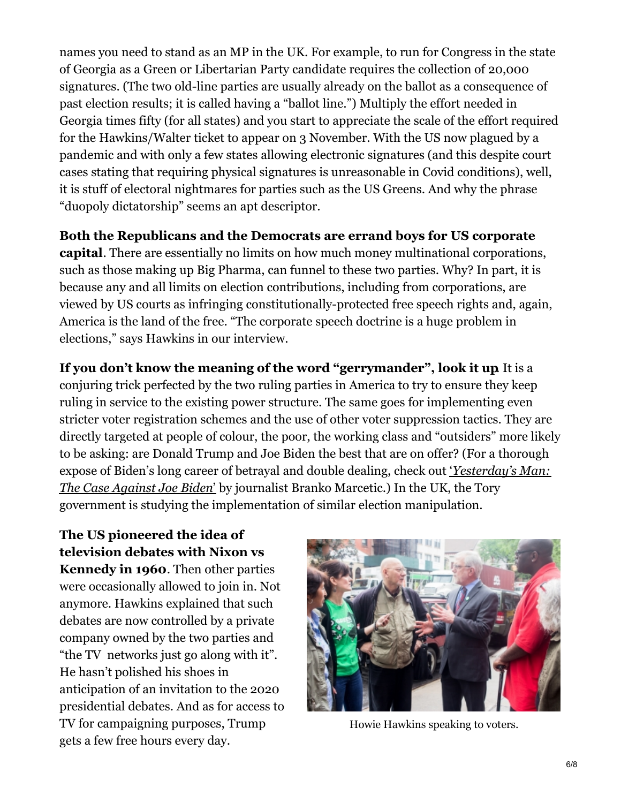names you need to stand as an MP in the UK. For example, to run for Congress in the state of Georgia as a Green or Libertarian Party candidate requires the collection of 20,000 signatures. (The two old-line parties are usually already on the ballot as a consequence of past election results; it is called having a "ballot line.") Multiply the effort needed in Georgia times fifty (for all states) and you start to appreciate the scale of the effort required for the Hawkins/Walter ticket to appear on 3 November. With the US now plagued by a pandemic and with only a few states allowing electronic signatures (and this despite court cases stating that requiring physical signatures is unreasonable in Covid conditions), well, it is stuff of electoral nightmares for parties such as the US Greens. And why the phrase "duopoly dictatorship" seems an apt descriptor.

**Both the Republicans and the Democrats are errand boys for US corporate**

**capital**. There are essentially no limits on how much money multinational corporations, such as those making up Big Pharma, can funnel to these two parties. Why? In part, it is because any and all limits on election contributions, including from corporations, are viewed by US courts as infringing constitutionally-protected free speech rights and, again, America is the land of the free. "The corporate speech doctrine is a huge problem in elections," says Hawkins in our interview.

**If you don't know the meaning of the word "gerrymander", look it up**. It is a conjuring trick perfected by the two ruling parties in America to try to ensure they keep ruling in service to the existing power structure. The same goes for implementing even stricter voter registration schemes and the use of other voter suppression tactics. They are directly targeted at people of colour, the poor, the working class and "outsiders" more likely to be asking: are Donald Trump and Joe Biden the best that are on offer? (For a thorough expose of Biden's long career of betrayal and double dealing, check out '*[Yesterday's](https://www.versobooks.com/books/3225-yesterday-s-man) Man: The Case Against Joe Biden*' by journalist Branko Marcetic.) In the UK, the Tory government is studying the implementation of similar election manipulation.

**The US pioneered the idea of television debates with Nixon vs Kennedy in 1960**. Then other parties were occasionally allowed to join in. Not anymore. Hawkins explained that such debates are now controlled by a private company owned by the two parties and "the TV networks just go along with it". He hasn't polished his shoes in anticipation of an invitation to the 2020 presidential debates. And as for access to TV for campaigning purposes, Trump gets a few free hours every day.



Howie Hawkins speaking to voters.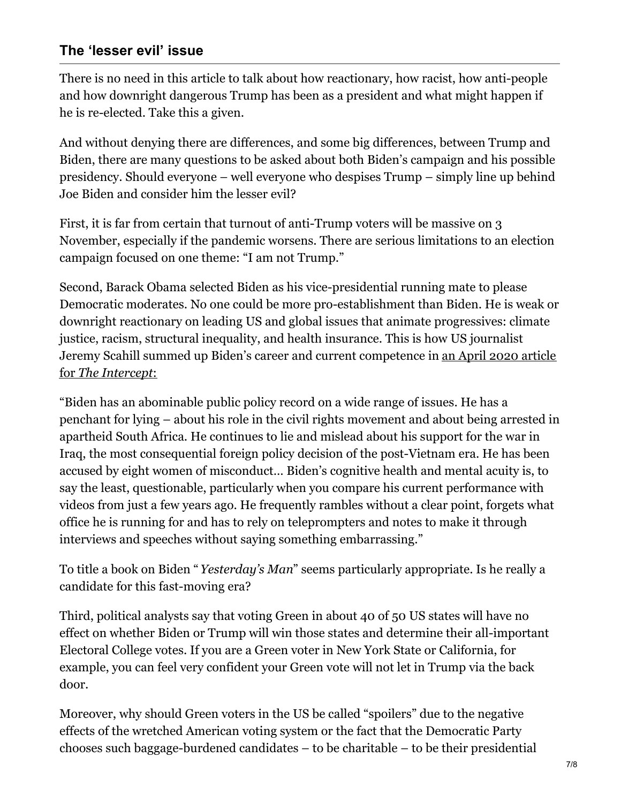#### **The 'lesser evil' issue**

There is no need in this article to talk about how reactionary, how racist, how anti-people and how downright dangerous Trump has been as a president and what might happen if he is re-elected. Take this a given.

And without denying there are differences, and some big differences, between Trump and Biden, there are many questions to be asked about both Biden's campaign and his possible presidency. Should everyone – well everyone who despises Trump – simply line up behind Joe Biden and consider him the lesser evil?

First, it is far from certain that turnout of anti-Trump voters will be massive on 3 November, especially if the pandemic worsens. There are serious limitations to an election campaign focused on one theme: "I am not Trump."

Second, Barack Obama selected Biden as his vice-presidential running mate to please Democratic moderates. No one could be more pro-establishment than Biden. He is weak or downright reactionary on leading US and global issues that animate progressives: climate justice, racism, structural inequality, and health insurance. This is how US journalist Jeremy Scahill summed up Biden's career and current [competence](https://theintercept.com/2020/04/20/donald-trump-joe-biden-2020-presidential-election-voting/) in an April 2020 article for *The Intercept*:

"Biden has an abominable public policy record on a wide range of issues. He has a penchant for lying – about his role in the civil rights movement and about being arrested in apartheid South Africa. He continues to lie and mislead about his support for the war in Iraq, the most consequential foreign policy decision of the post-Vietnam era. He has been accused by eight women of misconduct… Biden's cognitive health and mental acuity is, to say the least, questionable, particularly when you compare his current performance with videos from just a few years ago. He frequently rambles without a clear point, forgets what office he is running for and has to rely on teleprompters and notes to make it through interviews and speeches without saying something embarrassing."

To title a book on Biden "*Yesterday's Man*" seems particularly appropriate. Is he really a candidate for this fast-moving era?

Third, political analysts say that voting Green in about 40 of 50 US states will have no effect on whether Biden or Trump will win those states and determine their all-important Electoral College votes. If you are a Green voter in New York State or California, for example, you can feel very confident your Green vote will not let in Trump via the back door.

Moreover, why should Green voters in the US be called "spoilers" due to the negative effects of the wretched American voting system or the fact that the Democratic Party chooses such baggage-burdened candidates – to be charitable – to be their presidential